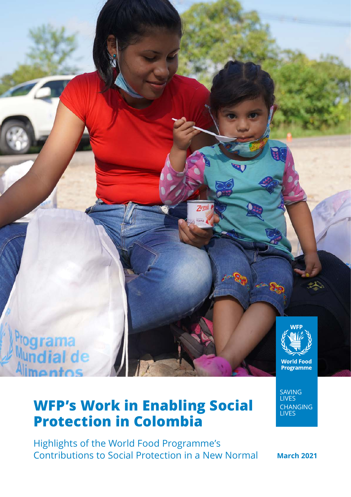

# **WFP's Work in Enabling Social Protection in Colombia**

Highlights of the World Food Programme's Contributions to Social Protection in a New Normal **March 2021**

SAVING LIVES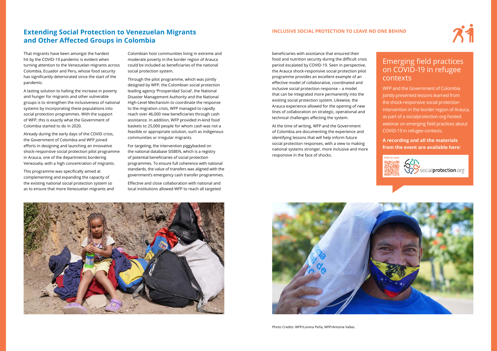beneficiaries with assistance that ensured their food and nutrition security during the difficult crisis period escalated by COVID-19. Seen in perspective, the Arauca shock-responsive social protection pilot programme provides an excellent example of an effective model of collaborative, coordinated and inclusive social protection response – a model that can be integrated more permanently into the existing social protection system. Likewise, the Arauca experience allowed for the opening of new lines of collaboration on strategic, operational and technical challenges affecting the system.

At the time of writing, WFP and the Government of Colombia are documenting the experience and identifying lessons that will help inform future social protection responses, with a view to making national systems stronger, more inclusive and more responsive in the face of shocks.





That migrants have been amongst the hardest hit by the COVID-19 pandemic is evident when turning attention to the Venezuelan migrants across Colombia, Ecuador and Peru, whose food security has significantly deteriorated since the start of the pandemic.

A lasting solution to halting the increase in poverty and hunger for migrants and other vulnerable groups is to strengthen the inclusiveness of national systems by incorporating these populations into social protection programmes. With the support of WFP, this is exactly what the Government of Colombia started to do in 2020.

Already during the early days of the COVID crisis, the Government of Colombia and WFP joined efforts in designing and launching an innovative shock-responsive social protection pilot programme in Arauca, one of the departments bordering Venezuela, with a high concentration of migrants.

This programme was specifically aimed at complementing and expanding the capacity of the existing national social protection system so as to ensure that more Venezuelan migrants and Colombian host communities living in extreme and moderate poverty in the border region of Arauca could be included as beneficiaries of the national social protection system.

Through the pilot programme, which was jointly designed by WFP, the Colombian social protection leading agency 'Prosperidad Social', the National Disaster Management Authority and the National High-Level Mechanism to coordinate the response to the migration crisis, WFP managed to rapidly reach over 46,000 new beneficiaries through cash assistance. In addition, WFP provided in-kind food baskets to 25,000 people for whom cash was not a feasible or appropriate solution, such as indigenous communities or irregular migrants.

For targeting, the intervention piggybacked on the national database SISBEN, which is a registry of potential beneficiaries of social protection programmes. To ensure full coherence with national standards, the value of transfers was aligned with the government's emergency cash transfer programmes.

Effective and close collaboration with national and local institutions allowed WFP to reach all targeted

## Emerging field practices on COVID-19 in refugee contexts

WFP and the Government of Colombia jointly presented lessons learned from the shock-responsive social protection intervention in the border region of Arauca, as part of a socialprotection.org-hosted webinar on emerging field practices about COVID-19 in refugee contexts.

**A recording and all the materials from the event are available here:** 







Spocialprotection.org

## **Extending Social Protection to Venezuelan Migrants and Other Affected Groups in Colombia**